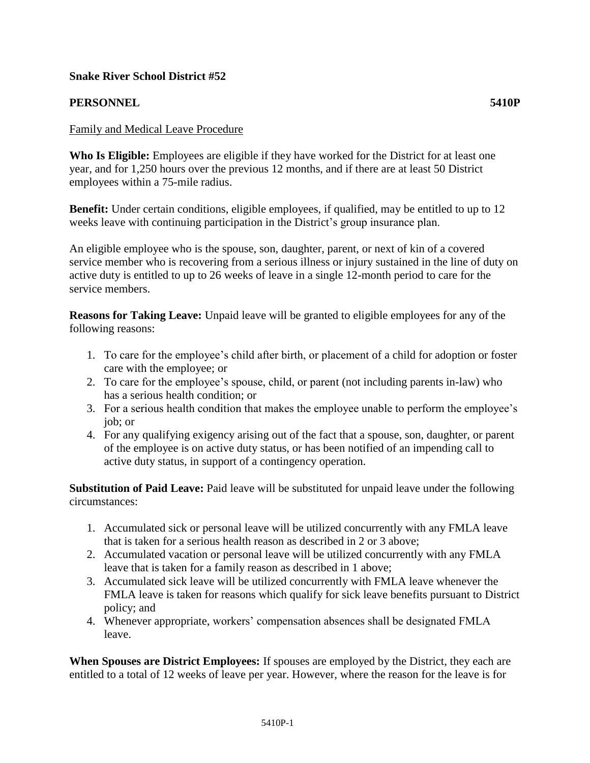## **Snake River School District #52**

## **PERSONNEL 5410P**

**Who Is Eligible:** Employees are eligible if they have worked for the District for at least one year, and for 1,250 hours over the previous 12 months, and if there are at least 50 District employees within a 75-mile radius.

**Benefit:** Under certain conditions, eligible employees, if qualified, may be entitled to up to 12 weeks leave with continuing participation in the District's group insurance plan.

An eligible employee who is the spouse, son, daughter, parent, or next of kin of a covered service member who is recovering from a serious illness or injury sustained in the line of duty on active duty is entitled to up to 26 weeks of leave in a single 12-month period to care for the service members.

**Reasons for Taking Leave:** Unpaid leave will be granted to eligible employees for any of the following reasons:

- 1. To care for the employee's child after birth, or placement of a child for adoption or foster care with the employee; or
- 2. To care for the employee's spouse, child, or parent (not including parents in-law) who has a serious health condition; or
- 3. For a serious health condition that makes the employee unable to perform the employee's job; or
- 4. For any qualifying exigency arising out of the fact that a spouse, son, daughter, or parent of the employee is on active duty status, or has been notified of an impending call to active duty status, in support of a contingency operation.

**Substitution of Paid Leave:** Paid leave will be substituted for unpaid leave under the following circumstances:

- 1. Accumulated sick or personal leave will be utilized concurrently with any FMLA leave that is taken for a serious health reason as described in 2 or 3 above;
- 2. Accumulated vacation or personal leave will be utilized concurrently with any FMLA leave that is taken for a family reason as described in 1 above;
- 3. Accumulated sick leave will be utilized concurrently with FMLA leave whenever the FMLA leave is taken for reasons which qualify for sick leave benefits pursuant to District policy; and
- 4. Whenever appropriate, workers' compensation absences shall be designated FMLA leave.

**When Spouses are District Employees:** If spouses are employed by the District, they each are entitled to a total of 12 weeks of leave per year. However, where the reason for the leave is for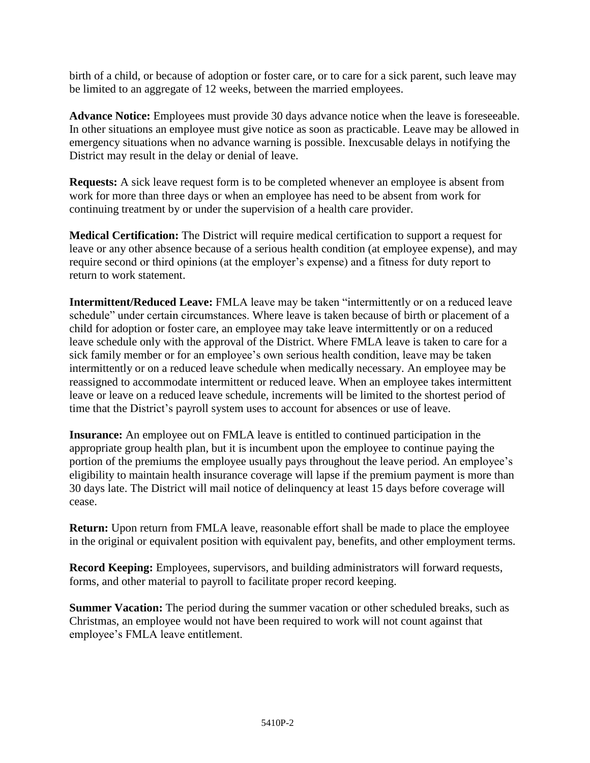birth of a child, or because of adoption or foster care, or to care for a sick parent, such leave may be limited to an aggregate of 12 weeks, between the married employees.

**Advance Notice:** Employees must provide 30 days advance notice when the leave is foreseeable. In other situations an employee must give notice as soon as practicable. Leave may be allowed in emergency situations when no advance warning is possible. Inexcusable delays in notifying the District may result in the delay or denial of leave.

**Requests:** A sick leave request form is to be completed whenever an employee is absent from work for more than three days or when an employee has need to be absent from work for continuing treatment by or under the supervision of a health care provider.

**Medical Certification:** The District will require medical certification to support a request for leave or any other absence because of a serious health condition (at employee expense), and may require second or third opinions (at the employer's expense) and a fitness for duty report to return to work statement.

**Intermittent/Reduced Leave:** FMLA leave may be taken "intermittently or on a reduced leave schedule" under certain circumstances. Where leave is taken because of birth or placement of a child for adoption or foster care, an employee may take leave intermittently or on a reduced leave schedule only with the approval of the District. Where FMLA leave is taken to care for a sick family member or for an employee's own serious health condition, leave may be taken intermittently or on a reduced leave schedule when medically necessary. An employee may be reassigned to accommodate intermittent or reduced leave. When an employee takes intermittent leave or leave on a reduced leave schedule, increments will be limited to the shortest period of time that the District's payroll system uses to account for absences or use of leave.

**Insurance:** An employee out on FMLA leave is entitled to continued participation in the appropriate group health plan, but it is incumbent upon the employee to continue paying the portion of the premiums the employee usually pays throughout the leave period. An employee's eligibility to maintain health insurance coverage will lapse if the premium payment is more than 30 days late. The District will mail notice of delinquency at least 15 days before coverage will cease.

**Return:** Upon return from FMLA leave, reasonable effort shall be made to place the employee in the original or equivalent position with equivalent pay, benefits, and other employment terms.

**Record Keeping:** Employees, supervisors, and building administrators will forward requests, forms, and other material to payroll to facilitate proper record keeping.

**Summer Vacation:** The period during the summer vacation or other scheduled breaks, such as Christmas, an employee would not have been required to work will not count against that employee's FMLA leave entitlement.